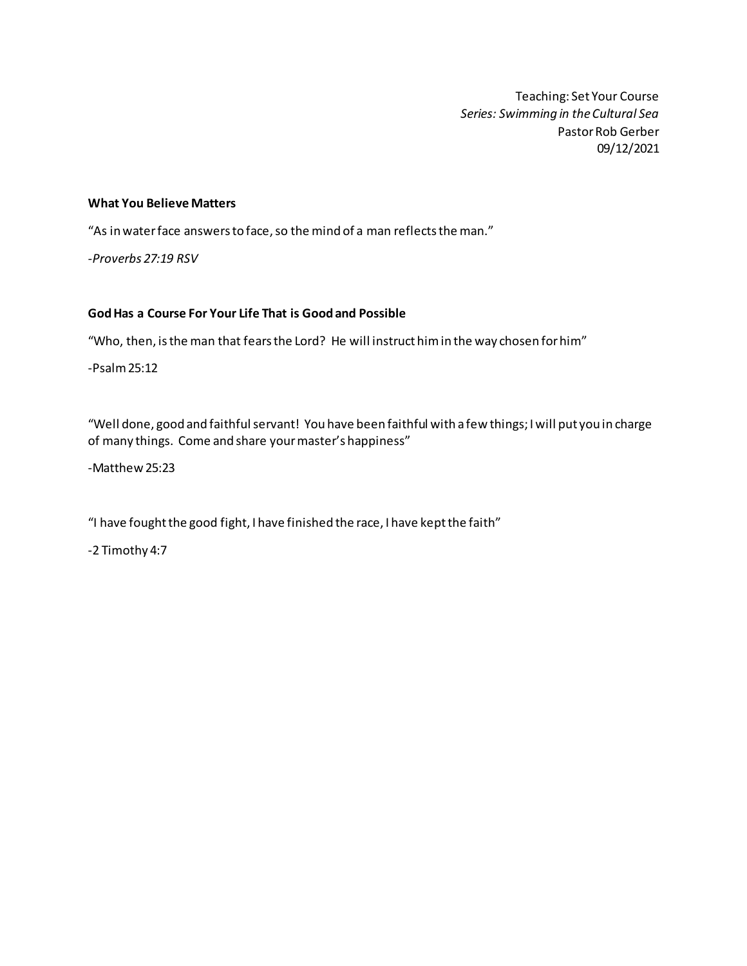Teaching: Set Your Course *Series: Swimming in the Cultural Sea* Pastor Rob Gerber 09/12/2021

#### **What You Believe Matters**

"As in water face answers to face, so the mind of a man reflects the man."

*-Proverbs 27:19 RSV*

#### **God Has a Course For Your Life That is Good and Possible**

"Who, then, is the man that fears the Lord? He will instruct him in the way chosen for him"

-Psalm 25:12

"Well done, good and faithful servant! You have been faithful with a few things; I will put you in charge of many things. Come and share your master's happiness"

-Matthew 25:23

"I have fought the good fight, I have finished the race, I have kept the faith"

-2 Timothy 4:7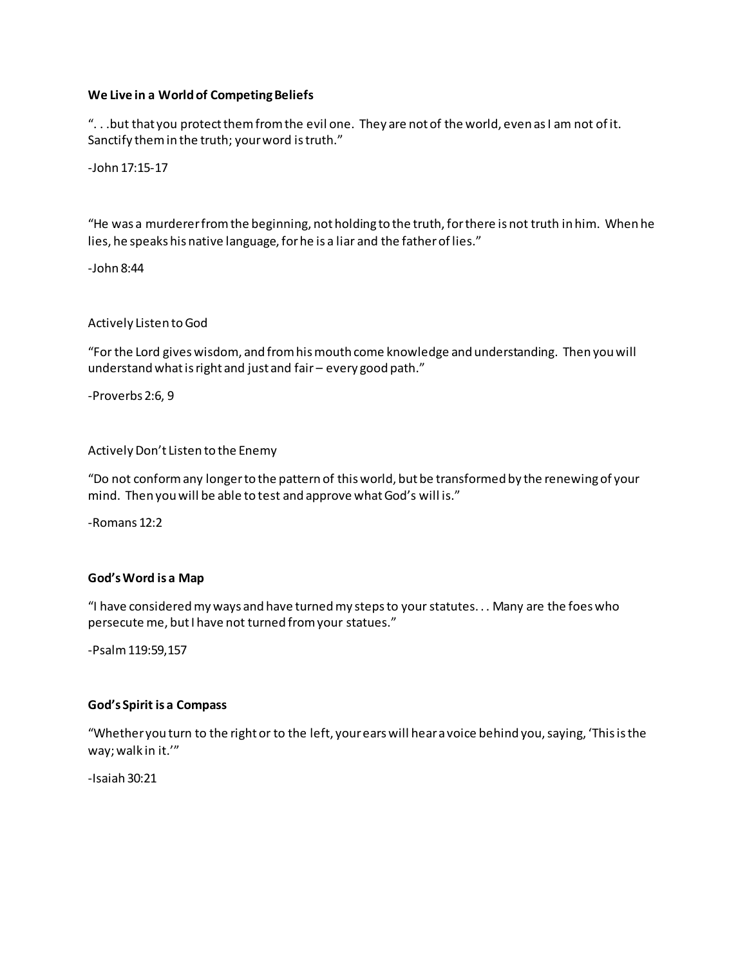## **We Live in a World of Competing Beliefs**

". . .but that you protect them from the evil one. They are not of the world, even as I am not of it. Sanctify them in the truth; your word is truth."

-John 17:15-17

"He was a murderer from the beginning, not holding to the truth, for there is not truth in him. When he lies, he speaks his native language, for he is a liar and the father of lies."

-John 8:44

Actively Listen to God

"For the Lord gives wisdom, and from his mouth come knowledge and understanding. Then you will understand what is right and just and fair – every good path."

-Proverbs 2:6, 9

Actively Don't Listen to the Enemy

"Do not conform any longer to the pattern of this world, but be transformed by the renewing of your mind. Then you will be able to test and approve what God's will is."

-Romans 12:2

#### **God's Word is a Map**

"I have considered my ways and have turned my steps to your statutes. . . Many are the foes who persecute me, but I have not turned from your statues."

-Psalm 119:59,157

#### **God's Spirit is a Compass**

"Whether you turn to the right or to the left, your ears will hear a voice behind you, saying, 'This is the way; walk in it.'"

-Isaiah 30:21